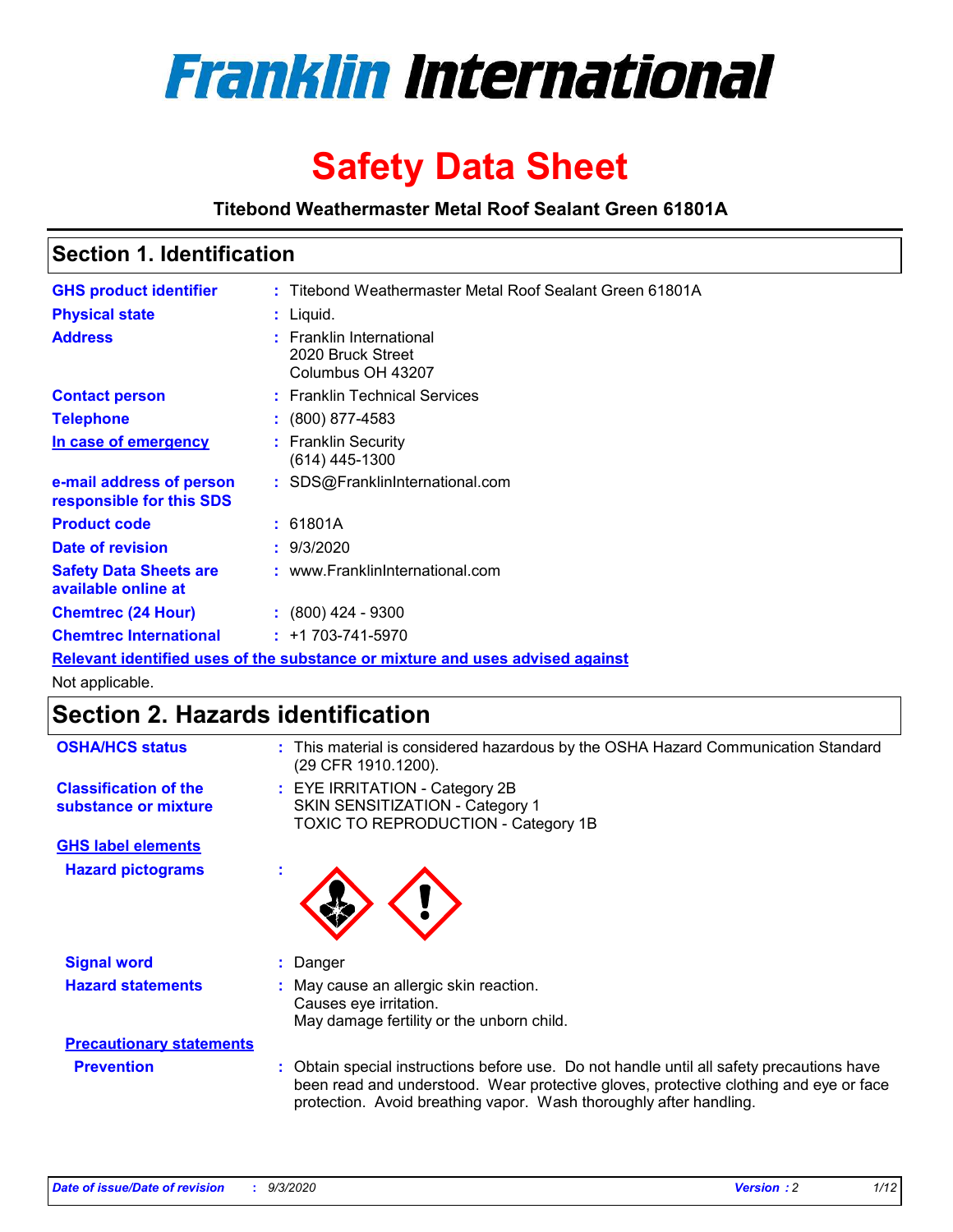

# **Safety Data Sheet**

**Titebond Weathermaster Metal Roof Sealant Green 61801A**

### **Section 1. Identification**

| <b>GHS product identifier</b>                                                 |  | : Titebond Weathermaster Metal Roof Sealant Green 61801A           |  |
|-------------------------------------------------------------------------------|--|--------------------------------------------------------------------|--|
| <b>Physical state</b>                                                         |  | $:$ Liquid.                                                        |  |
| <b>Address</b>                                                                |  | : Franklin International<br>2020 Bruck Street<br>Columbus OH 43207 |  |
| <b>Contact person</b>                                                         |  | : Franklin Technical Services                                      |  |
| <b>Telephone</b>                                                              |  | $\div$ (800) 877-4583                                              |  |
| In case of emergency                                                          |  | : Franklin Security<br>(614) 445-1300                              |  |
| e-mail address of person<br>responsible for this SDS                          |  | : SDS@FranklinInternational.com                                    |  |
| <b>Product code</b>                                                           |  | : 61801A                                                           |  |
| Date of revision                                                              |  | : 9/3/2020                                                         |  |
| <b>Safety Data Sheets are</b><br>available online at                          |  | : www.FranklinInternational.com                                    |  |
| <b>Chemtrec (24 Hour)</b>                                                     |  | $\cdot$ (800) 424 - 9300                                           |  |
| <b>Chemtrec International</b>                                                 |  | $: +1703 - 741 - 5970$                                             |  |
| Relevant identified uses of the substance or mixture and uses advised against |  |                                                                    |  |

Not applicable.

# **Section 2. Hazards identification**

| <b>OSHA/HCS status</b>                               |    | : This material is considered hazardous by the OSHA Hazard Communication Standard<br>(29 CFR 1910.1200).                                                                                                                                                 |
|------------------------------------------------------|----|----------------------------------------------------------------------------------------------------------------------------------------------------------------------------------------------------------------------------------------------------------|
| <b>Classification of the</b><br>substance or mixture |    | : EYE IRRITATION - Category 2B<br>SKIN SENSITIZATION - Category 1<br>TOXIC TO REPRODUCTION - Category 1B                                                                                                                                                 |
| <b>GHS label elements</b>                            |    |                                                                                                                                                                                                                                                          |
| <b>Hazard pictograms</b>                             | ×. |                                                                                                                                                                                                                                                          |
| <b>Signal word</b>                                   | ÷. | Danger                                                                                                                                                                                                                                                   |
| <b>Hazard statements</b>                             |    | May cause an allergic skin reaction.<br>Causes eye irritation.<br>May damage fertility or the unborn child.                                                                                                                                              |
| <b>Precautionary statements</b>                      |    |                                                                                                                                                                                                                                                          |
| <b>Prevention</b>                                    |    | : Obtain special instructions before use. Do not handle until all safety precautions have<br>been read and understood. Wear protective gloves, protective clothing and eye or face<br>protection. Avoid breathing vapor. Wash thoroughly after handling. |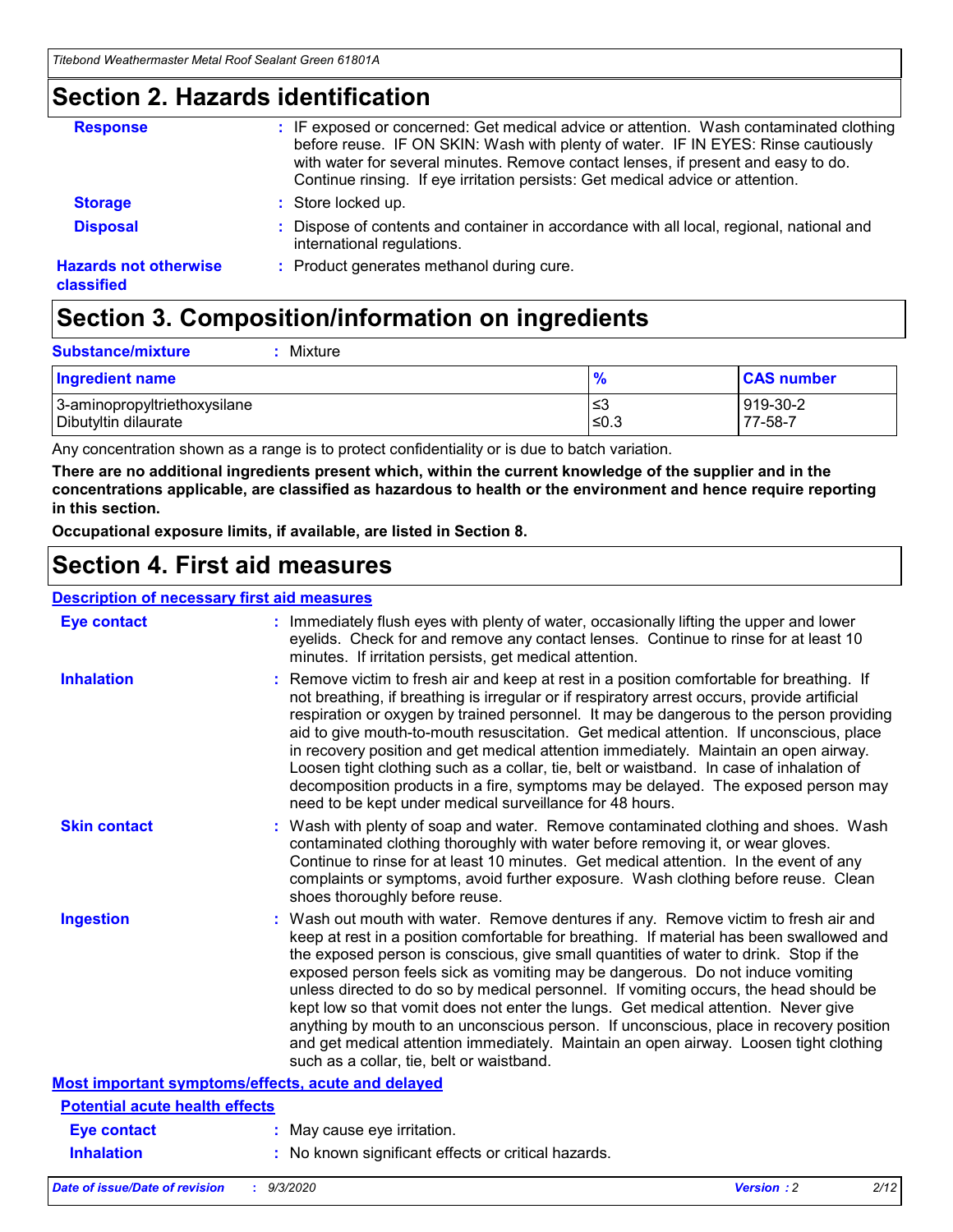### **Section 2. Hazards identification**

| <b>Response</b>                            | : IF exposed or concerned: Get medical advice or attention. Wash contaminated clothing<br>before reuse. IF ON SKIN: Wash with plenty of water. IF IN EYES: Rinse cautiously<br>with water for several minutes. Remove contact lenses, if present and easy to do.<br>Continue rinsing. If eye irritation persists: Get medical advice or attention. |
|--------------------------------------------|----------------------------------------------------------------------------------------------------------------------------------------------------------------------------------------------------------------------------------------------------------------------------------------------------------------------------------------------------|
| <b>Storage</b>                             | : Store locked up.                                                                                                                                                                                                                                                                                                                                 |
| <b>Disposal</b>                            | : Dispose of contents and container in accordance with all local, regional, national and<br>international regulations.                                                                                                                                                                                                                             |
| <b>Hazards not otherwise</b><br>classified | : Product generates methanol during cure.                                                                                                                                                                                                                                                                                                          |

# **Section 3. Composition/information on ingredients**

| <b>Substance/mixture</b> |  | : Mixture |
|--------------------------|--|-----------|
|--------------------------|--|-----------|

| <b>Ingredient name</b>       | $\frac{9}{6}$ | <b>CAS number</b> |
|------------------------------|---------------|-------------------|
| 3-aminopropyltriethoxysilane | ≤3            | 919-30-2          |
| Dibutyltin dilaurate         | ∣≤0.3         | 77-58-7           |

Any concentration shown as a range is to protect confidentiality or is due to batch variation.

**There are no additional ingredients present which, within the current knowledge of the supplier and in the concentrations applicable, are classified as hazardous to health or the environment and hence require reporting in this section.**

**Occupational exposure limits, if available, are listed in Section 8.**

### **Section 4. First aid measures**

| <b>Description of necessary first aid measures</b> |                                                                                                                                                                                                                                                                                                                                                                                                                                                                                                                                                                                                                                                                                                                                                                           |
|----------------------------------------------------|---------------------------------------------------------------------------------------------------------------------------------------------------------------------------------------------------------------------------------------------------------------------------------------------------------------------------------------------------------------------------------------------------------------------------------------------------------------------------------------------------------------------------------------------------------------------------------------------------------------------------------------------------------------------------------------------------------------------------------------------------------------------------|
| <b>Eye contact</b>                                 | : Immediately flush eyes with plenty of water, occasionally lifting the upper and lower<br>eyelids. Check for and remove any contact lenses. Continue to rinse for at least 10<br>minutes. If irritation persists, get medical attention.                                                                                                                                                                                                                                                                                                                                                                                                                                                                                                                                 |
| <b>Inhalation</b>                                  | : Remove victim to fresh air and keep at rest in a position comfortable for breathing. If<br>not breathing, if breathing is irregular or if respiratory arrest occurs, provide artificial<br>respiration or oxygen by trained personnel. It may be dangerous to the person providing<br>aid to give mouth-to-mouth resuscitation. Get medical attention. If unconscious, place<br>in recovery position and get medical attention immediately. Maintain an open airway.<br>Loosen tight clothing such as a collar, tie, belt or waistband. In case of inhalation of<br>decomposition products in a fire, symptoms may be delayed. The exposed person may<br>need to be kept under medical surveillance for 48 hours.                                                       |
| <b>Skin contact</b>                                | : Wash with plenty of soap and water. Remove contaminated clothing and shoes. Wash<br>contaminated clothing thoroughly with water before removing it, or wear gloves.<br>Continue to rinse for at least 10 minutes. Get medical attention. In the event of any<br>complaints or symptoms, avoid further exposure. Wash clothing before reuse. Clean<br>shoes thoroughly before reuse.                                                                                                                                                                                                                                                                                                                                                                                     |
| <b>Ingestion</b>                                   | : Wash out mouth with water. Remove dentures if any. Remove victim to fresh air and<br>keep at rest in a position comfortable for breathing. If material has been swallowed and<br>the exposed person is conscious, give small quantities of water to drink. Stop if the<br>exposed person feels sick as vomiting may be dangerous. Do not induce vomiting<br>unless directed to do so by medical personnel. If vomiting occurs, the head should be<br>kept low so that vomit does not enter the lungs. Get medical attention. Never give<br>anything by mouth to an unconscious person. If unconscious, place in recovery position<br>and get medical attention immediately. Maintain an open airway. Loosen tight clothing<br>such as a collar, tie, belt or waistband. |
| Most important symptoms/effects, acute and delayed |                                                                                                                                                                                                                                                                                                                                                                                                                                                                                                                                                                                                                                                                                                                                                                           |
| <b>Potential acute health effects</b>              |                                                                                                                                                                                                                                                                                                                                                                                                                                                                                                                                                                                                                                                                                                                                                                           |
| Eye contact                                        | : May cause eye irritation.                                                                                                                                                                                                                                                                                                                                                                                                                                                                                                                                                                                                                                                                                                                                               |
| <b>Inhalation</b>                                  | : No known significant effects or critical hazards.                                                                                                                                                                                                                                                                                                                                                                                                                                                                                                                                                                                                                                                                                                                       |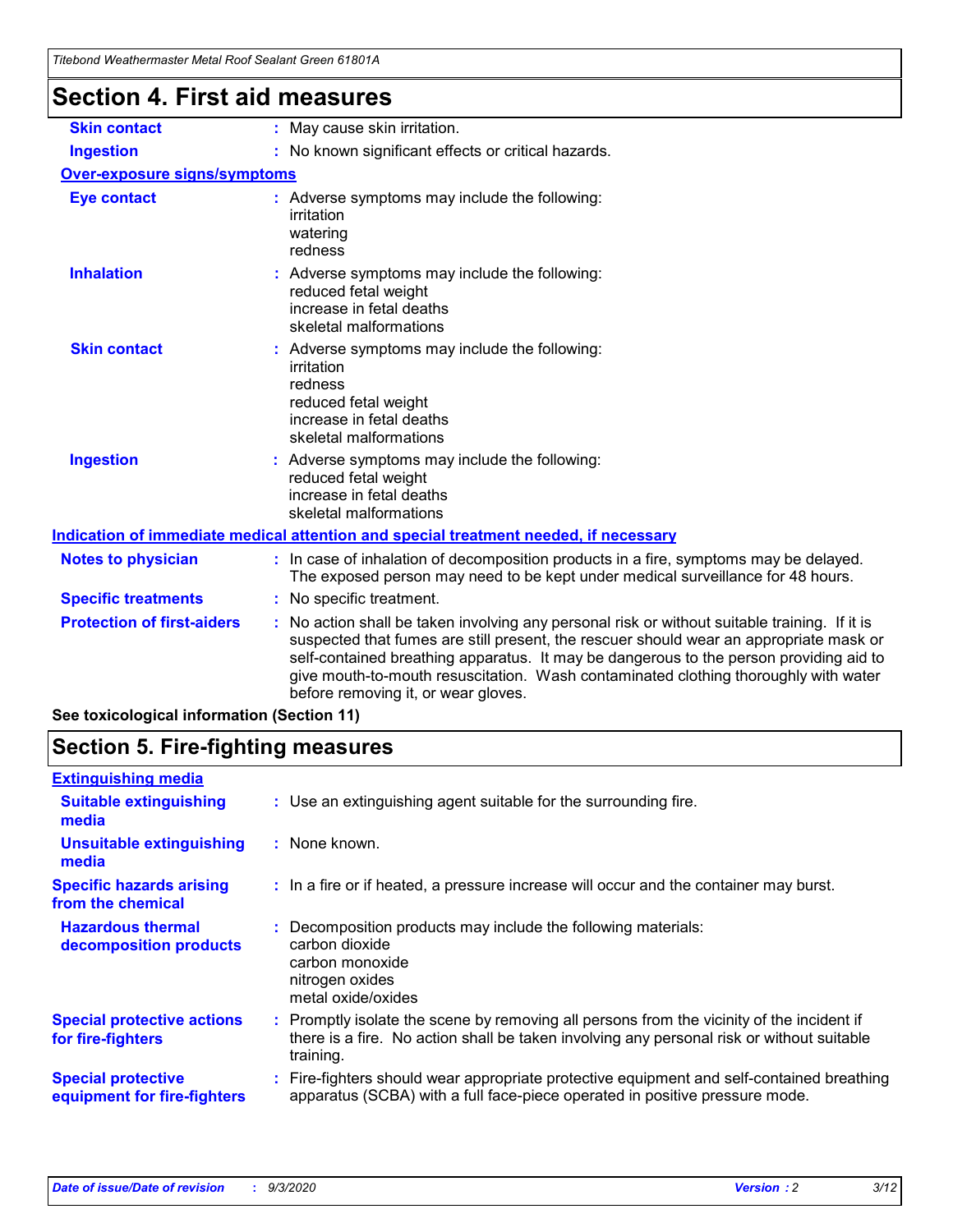| Titebong weathermaster Metal Roof Sealant Green 61801A |                                                                                                                                                                                                                                                                                                                                                                                                               |
|--------------------------------------------------------|---------------------------------------------------------------------------------------------------------------------------------------------------------------------------------------------------------------------------------------------------------------------------------------------------------------------------------------------------------------------------------------------------------------|
| <b>Section 4. First aid measures</b>                   |                                                                                                                                                                                                                                                                                                                                                                                                               |
| <b>Skin contact</b>                                    | : May cause skin irritation.                                                                                                                                                                                                                                                                                                                                                                                  |
| <b>Ingestion</b>                                       | : No known significant effects or critical hazards.                                                                                                                                                                                                                                                                                                                                                           |
| Over-exposure signs/symptoms                           |                                                                                                                                                                                                                                                                                                                                                                                                               |
| <b>Eye contact</b>                                     | : Adverse symptoms may include the following:<br>irritation<br>watering<br>redness                                                                                                                                                                                                                                                                                                                            |
| <b>Inhalation</b>                                      | : Adverse symptoms may include the following:<br>reduced fetal weight<br>increase in fetal deaths<br>skeletal malformations                                                                                                                                                                                                                                                                                   |
| <b>Skin contact</b>                                    | Adverse symptoms may include the following:<br>irritation<br>redness<br>reduced fetal weight<br>increase in fetal deaths<br>skeletal malformations                                                                                                                                                                                                                                                            |
| <b>Ingestion</b>                                       | : Adverse symptoms may include the following:<br>reduced fetal weight<br>increase in fetal deaths<br>skeletal malformations                                                                                                                                                                                                                                                                                   |
|                                                        | Indication of immediate medical attention and special treatment needed, if necessary                                                                                                                                                                                                                                                                                                                          |
| <b>Notes to physician</b>                              | : In case of inhalation of decomposition products in a fire, symptoms may be delayed.<br>The exposed person may need to be kept under medical surveillance for 48 hours.                                                                                                                                                                                                                                      |
| <b>Specific treatments</b>                             | : No specific treatment.                                                                                                                                                                                                                                                                                                                                                                                      |
| <b>Protection of first-aiders</b>                      | No action shall be taken involving any personal risk or without suitable training. If it is<br>suspected that fumes are still present, the rescuer should wear an appropriate mask or<br>self-contained breathing apparatus. It may be dangerous to the person providing aid to<br>give mouth-to-mouth resuscitation. Wash contaminated clothing thoroughly with water<br>before removing it, or wear gloves. |

**See toxicological information (Section 11)**

### **Section 5. Fire-fighting measures**

| <b>Extinguishing media</b>                               |                                                                                                                                                                                                     |
|----------------------------------------------------------|-----------------------------------------------------------------------------------------------------------------------------------------------------------------------------------------------------|
| <b>Suitable extinguishing</b><br>media                   | : Use an extinguishing agent suitable for the surrounding fire.                                                                                                                                     |
| <b>Unsuitable extinguishing</b><br>media                 | : None known.                                                                                                                                                                                       |
| <b>Specific hazards arising</b><br>from the chemical     | : In a fire or if heated, a pressure increase will occur and the container may burst.                                                                                                               |
| <b>Hazardous thermal</b><br>decomposition products       | Decomposition products may include the following materials:<br>carbon dioxide<br>carbon monoxide<br>nitrogen oxides<br>metal oxide/oxides                                                           |
| <b>Special protective actions</b><br>for fire-fighters   | : Promptly isolate the scene by removing all persons from the vicinity of the incident if<br>there is a fire. No action shall be taken involving any personal risk or without suitable<br>training. |
| <b>Special protective</b><br>equipment for fire-fighters | : Fire-fighters should wear appropriate protective equipment and self-contained breathing<br>apparatus (SCBA) with a full face-piece operated in positive pressure mode.                            |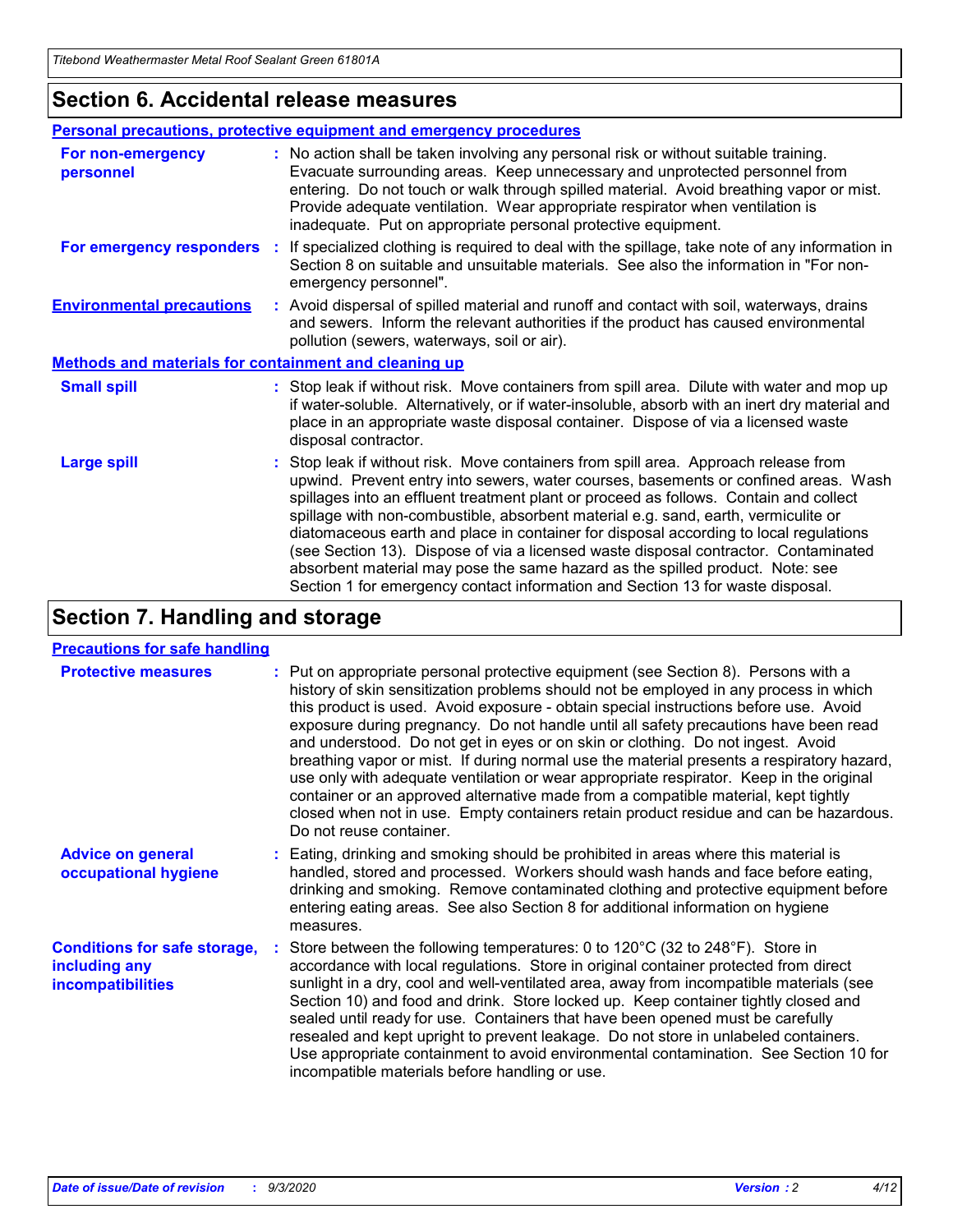### **Section 6. Accidental release measures**

|                                                              | Personal precautions, protective equipment and emergency procedures                                                                                                                                                                                                                                                                                                                                                                                                                                                                                                                                                                                                                                          |  |  |  |
|--------------------------------------------------------------|--------------------------------------------------------------------------------------------------------------------------------------------------------------------------------------------------------------------------------------------------------------------------------------------------------------------------------------------------------------------------------------------------------------------------------------------------------------------------------------------------------------------------------------------------------------------------------------------------------------------------------------------------------------------------------------------------------------|--|--|--|
| For non-emergency<br>personnel                               | : No action shall be taken involving any personal risk or without suitable training.<br>Evacuate surrounding areas. Keep unnecessary and unprotected personnel from<br>entering. Do not touch or walk through spilled material. Avoid breathing vapor or mist.<br>Provide adequate ventilation. Wear appropriate respirator when ventilation is<br>inadequate. Put on appropriate personal protective equipment.                                                                                                                                                                                                                                                                                             |  |  |  |
| For emergency responders                                     | : If specialized clothing is required to deal with the spillage, take note of any information in<br>Section 8 on suitable and unsuitable materials. See also the information in "For non-<br>emergency personnel".                                                                                                                                                                                                                                                                                                                                                                                                                                                                                           |  |  |  |
| <b>Environmental precautions</b>                             | : Avoid dispersal of spilled material and runoff and contact with soil, waterways, drains<br>and sewers. Inform the relevant authorities if the product has caused environmental<br>pollution (sewers, waterways, soil or air).                                                                                                                                                                                                                                                                                                                                                                                                                                                                              |  |  |  |
| <b>Methods and materials for containment and cleaning up</b> |                                                                                                                                                                                                                                                                                                                                                                                                                                                                                                                                                                                                                                                                                                              |  |  |  |
| <b>Small spill</b>                                           | : Stop leak if without risk. Move containers from spill area. Dilute with water and mop up<br>if water-soluble. Alternatively, or if water-insoluble, absorb with an inert dry material and<br>place in an appropriate waste disposal container. Dispose of via a licensed waste<br>disposal contractor.                                                                                                                                                                                                                                                                                                                                                                                                     |  |  |  |
| <b>Large spill</b>                                           | : Stop leak if without risk. Move containers from spill area. Approach release from<br>upwind. Prevent entry into sewers, water courses, basements or confined areas. Wash<br>spillages into an effluent treatment plant or proceed as follows. Contain and collect<br>spillage with non-combustible, absorbent material e.g. sand, earth, vermiculite or<br>diatomaceous earth and place in container for disposal according to local regulations<br>(see Section 13). Dispose of via a licensed waste disposal contractor. Contaminated<br>absorbent material may pose the same hazard as the spilled product. Note: see<br>Section 1 for emergency contact information and Section 13 for waste disposal. |  |  |  |

### **Section 7. Handling and storage**

#### **Precautions for safe handling**

| <b>Protective measures</b>                                                       | : Put on appropriate personal protective equipment (see Section 8). Persons with a<br>history of skin sensitization problems should not be employed in any process in which<br>this product is used. Avoid exposure - obtain special instructions before use. Avoid<br>exposure during pregnancy. Do not handle until all safety precautions have been read<br>and understood. Do not get in eyes or on skin or clothing. Do not ingest. Avoid<br>breathing vapor or mist. If during normal use the material presents a respiratory hazard,<br>use only with adequate ventilation or wear appropriate respirator. Keep in the original<br>container or an approved alternative made from a compatible material, kept tightly<br>closed when not in use. Empty containers retain product residue and can be hazardous.<br>Do not reuse container. |
|----------------------------------------------------------------------------------|--------------------------------------------------------------------------------------------------------------------------------------------------------------------------------------------------------------------------------------------------------------------------------------------------------------------------------------------------------------------------------------------------------------------------------------------------------------------------------------------------------------------------------------------------------------------------------------------------------------------------------------------------------------------------------------------------------------------------------------------------------------------------------------------------------------------------------------------------|
| <b>Advice on general</b><br>occupational hygiene                                 | : Eating, drinking and smoking should be prohibited in areas where this material is<br>handled, stored and processed. Workers should wash hands and face before eating,<br>drinking and smoking. Remove contaminated clothing and protective equipment before<br>entering eating areas. See also Section 8 for additional information on hygiene<br>measures.                                                                                                                                                                                                                                                                                                                                                                                                                                                                                    |
| <b>Conditions for safe storage,</b><br>including any<br><i>incompatibilities</i> | Store between the following temperatures: 0 to 120°C (32 to 248°F). Store in<br>accordance with local regulations. Store in original container protected from direct<br>sunlight in a dry, cool and well-ventilated area, away from incompatible materials (see<br>Section 10) and food and drink. Store locked up. Keep container tightly closed and<br>sealed until ready for use. Containers that have been opened must be carefully<br>resealed and kept upright to prevent leakage. Do not store in unlabeled containers.<br>Use appropriate containment to avoid environmental contamination. See Section 10 for<br>incompatible materials before handling or use.                                                                                                                                                                         |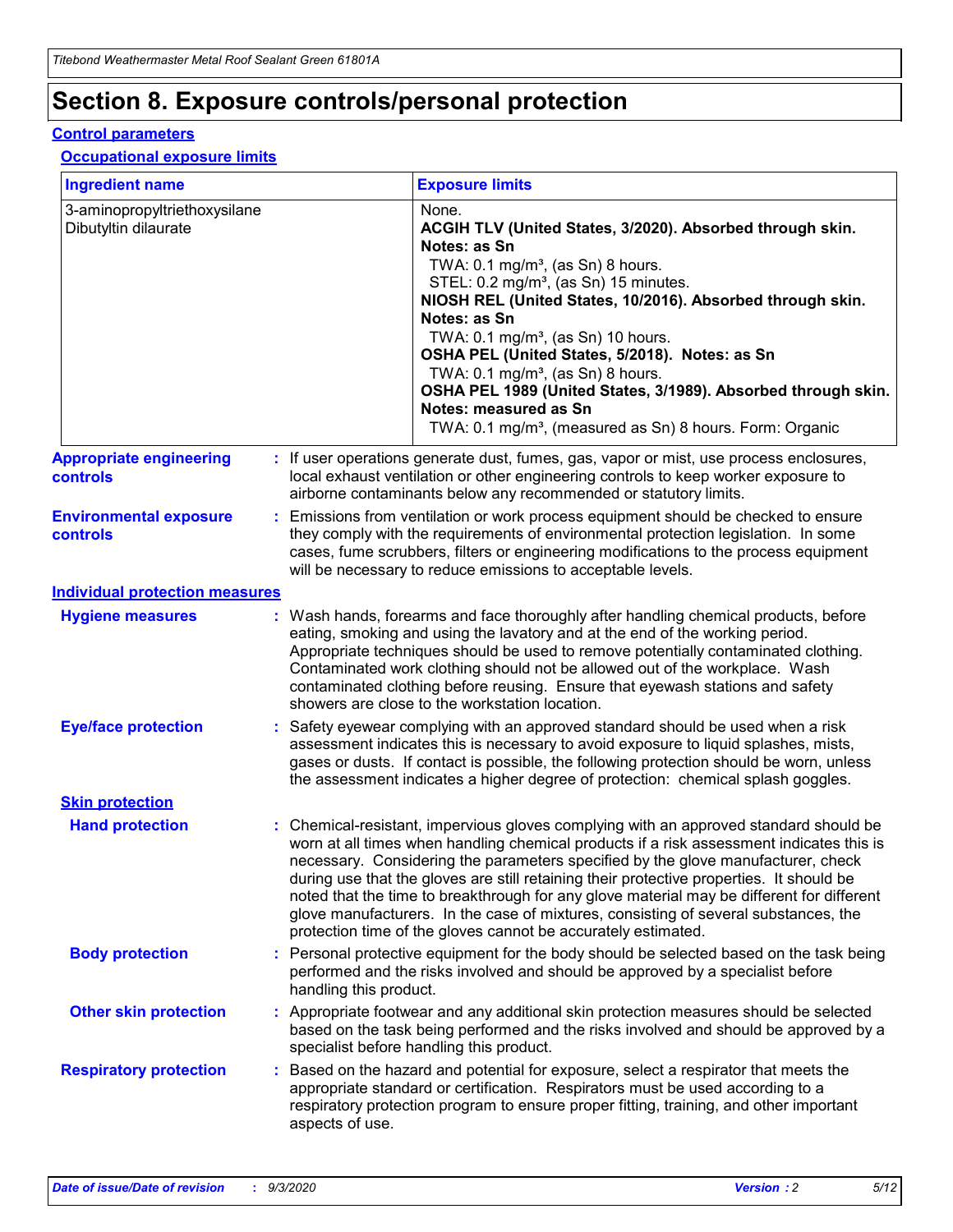# **Section 8. Exposure controls/personal protection**

#### **Control parameters**

#### **Occupational exposure limits**

| <b>Ingredient name</b>                               |    |                        | <b>Exposure limits</b>                                                                                                                                                                                                                                                                                                                                                                                                                                                                                                                                                                                                 |
|------------------------------------------------------|----|------------------------|------------------------------------------------------------------------------------------------------------------------------------------------------------------------------------------------------------------------------------------------------------------------------------------------------------------------------------------------------------------------------------------------------------------------------------------------------------------------------------------------------------------------------------------------------------------------------------------------------------------------|
| 3-aminopropyltriethoxysilane<br>Dibutyltin dilaurate |    |                        | None.<br>ACGIH TLV (United States, 3/2020). Absorbed through skin.<br>Notes: as Sn<br>TWA: $0.1 \text{ mg/m}^3$ , (as Sn) 8 hours.<br>STEL: 0.2 mg/m <sup>3</sup> , (as Sn) 15 minutes.<br>NIOSH REL (United States, 10/2016). Absorbed through skin.<br>Notes: as Sn<br>TWA: 0.1 mg/m <sup>3</sup> , (as Sn) 10 hours.<br>OSHA PEL (United States, 5/2018). Notes: as Sn<br>TWA: $0.1 \text{ mg/m}^3$ , (as Sn) 8 hours.<br>OSHA PEL 1989 (United States, 3/1989). Absorbed through skin.<br>Notes: measured as Sn<br>TWA: 0.1 mg/m <sup>3</sup> , (measured as Sn) 8 hours. Form: Organic                            |
| <b>Appropriate engineering</b><br>controls           |    |                        | : If user operations generate dust, fumes, gas, vapor or mist, use process enclosures,<br>local exhaust ventilation or other engineering controls to keep worker exposure to<br>airborne contaminants below any recommended or statutory limits.                                                                                                                                                                                                                                                                                                                                                                       |
| <b>Environmental exposure</b><br>controls            |    |                        | Emissions from ventilation or work process equipment should be checked to ensure<br>they comply with the requirements of environmental protection legislation. In some<br>cases, fume scrubbers, filters or engineering modifications to the process equipment<br>will be necessary to reduce emissions to acceptable levels.                                                                                                                                                                                                                                                                                          |
| <b>Individual protection measures</b>                |    |                        |                                                                                                                                                                                                                                                                                                                                                                                                                                                                                                                                                                                                                        |
| <b>Hygiene measures</b>                              |    |                        | : Wash hands, forearms and face thoroughly after handling chemical products, before<br>eating, smoking and using the lavatory and at the end of the working period.<br>Appropriate techniques should be used to remove potentially contaminated clothing.<br>Contaminated work clothing should not be allowed out of the workplace. Wash<br>contaminated clothing before reusing. Ensure that eyewash stations and safety<br>showers are close to the workstation location.                                                                                                                                            |
| <b>Eye/face protection</b>                           |    |                        | : Safety eyewear complying with an approved standard should be used when a risk<br>assessment indicates this is necessary to avoid exposure to liquid splashes, mists,<br>gases or dusts. If contact is possible, the following protection should be worn, unless<br>the assessment indicates a higher degree of protection: chemical splash goggles.                                                                                                                                                                                                                                                                  |
| <b>Skin protection</b>                               |    |                        |                                                                                                                                                                                                                                                                                                                                                                                                                                                                                                                                                                                                                        |
| <b>Hand protection</b>                               |    |                        | : Chemical-resistant, impervious gloves complying with an approved standard should be<br>worn at all times when handling chemical products if a risk assessment indicates this is<br>necessary. Considering the parameters specified by the glove manufacturer, check<br>during use that the gloves are still retaining their protective properties. It should be<br>noted that the time to breakthrough for any glove material may be different for different<br>glove manufacturers. In the case of mixtures, consisting of several substances, the<br>protection time of the gloves cannot be accurately estimated. |
| <b>Body protection</b>                               |    | handling this product. | Personal protective equipment for the body should be selected based on the task being<br>performed and the risks involved and should be approved by a specialist before                                                                                                                                                                                                                                                                                                                                                                                                                                                |
| <b>Other skin protection</b>                         |    |                        | : Appropriate footwear and any additional skin protection measures should be selected<br>based on the task being performed and the risks involved and should be approved by a<br>specialist before handling this product.                                                                                                                                                                                                                                                                                                                                                                                              |
| <b>Respiratory protection</b>                        | ÷. | aspects of use.        | Based on the hazard and potential for exposure, select a respirator that meets the<br>appropriate standard or certification. Respirators must be used according to a<br>respiratory protection program to ensure proper fitting, training, and other important                                                                                                                                                                                                                                                                                                                                                         |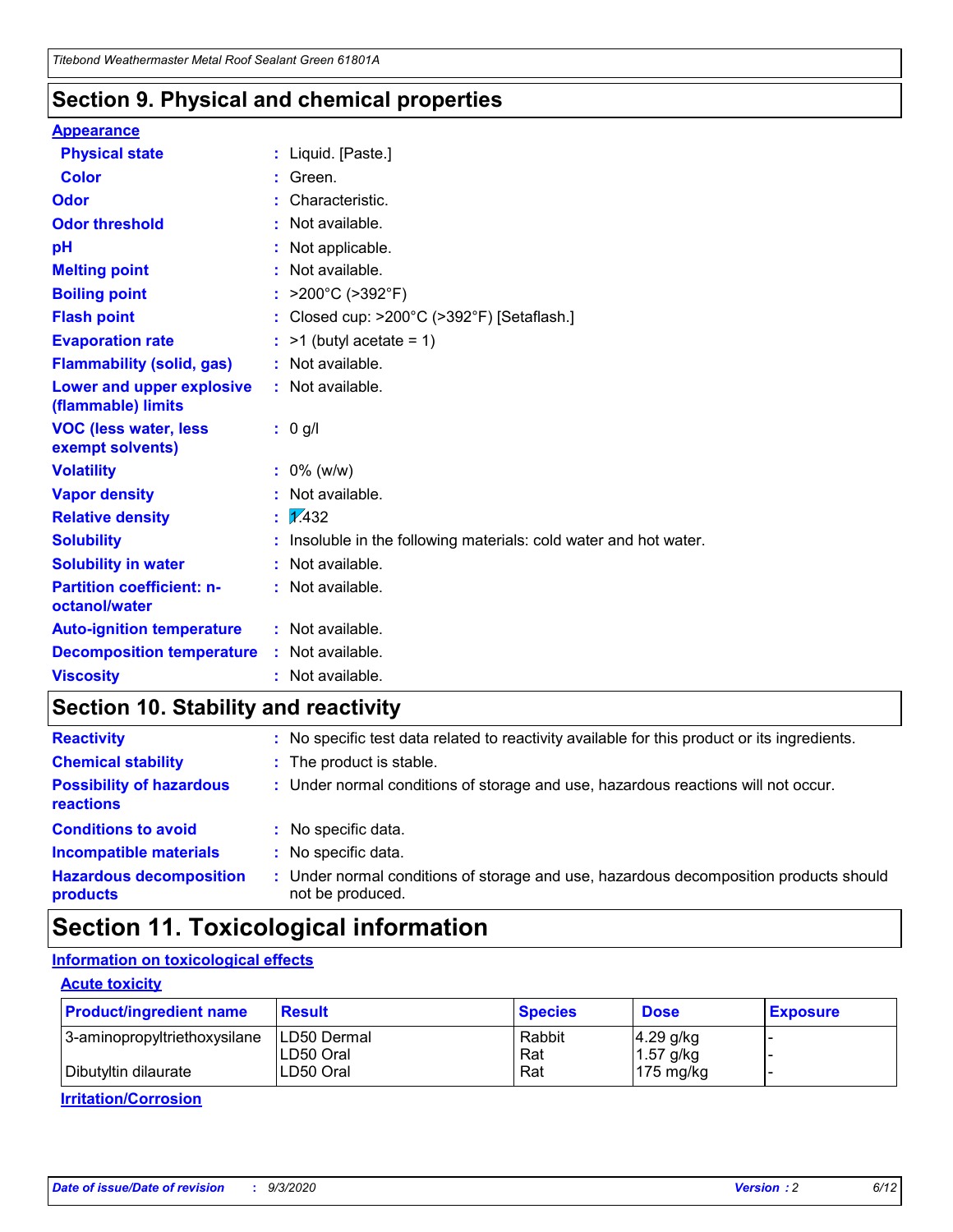### **Section 9. Physical and chemical properties**

#### **Appearance**

| <b>Physical state</b>                             |   | : Liquid. [Paste.]                                              |
|---------------------------------------------------|---|-----------------------------------------------------------------|
| <b>Color</b>                                      |   | Green.                                                          |
| Odor                                              |   | Characteristic.                                                 |
| <b>Odor threshold</b>                             | ÷ | Not available.                                                  |
| рH                                                |   | Not applicable.                                                 |
| <b>Melting point</b>                              |   | : Not available.                                                |
| <b>Boiling point</b>                              |   | >200°C (>392°F)                                                 |
| <b>Flash point</b>                                |   | Closed cup: >200°C (>392°F) [Setaflash.]                        |
| <b>Evaporation rate</b>                           |   | $:$ >1 (butyl acetate = 1)                                      |
| <b>Flammability (solid, gas)</b>                  |   | : Not available.                                                |
| Lower and upper explosive<br>(flammable) limits   |   | : Not available.                                                |
| <b>VOC (less water, less)</b><br>exempt solvents) |   | : 0 g/l                                                         |
| <b>Volatility</b>                                 |   | $: 0\%$ (w/w)                                                   |
| <b>Vapor density</b>                              |   | Not available.                                                  |
| <b>Relative density</b>                           |   | $\mathbf{1}$ $\mathbf{\sqrt{432}}$                              |
| <b>Solubility</b>                                 |   | Insoluble in the following materials: cold water and hot water. |
| <b>Solubility in water</b>                        |   | Not available.                                                  |
| <b>Partition coefficient: n-</b><br>octanol/water |   | $:$ Not available.                                              |
| <b>Auto-ignition temperature</b>                  |   | : Not available.                                                |
| <b>Decomposition temperature</b>                  |   | : Not available.                                                |
| <b>Viscosity</b>                                  |   | $:$ Not available.                                              |

### **Section 10. Stability and reactivity**

| <b>Reactivity</b>                            |    | : No specific test data related to reactivity available for this product or its ingredients.            |
|----------------------------------------------|----|---------------------------------------------------------------------------------------------------------|
| <b>Chemical stability</b>                    |    | : The product is stable.                                                                                |
| <b>Possibility of hazardous</b><br>reactions |    | : Under normal conditions of storage and use, hazardous reactions will not occur.                       |
| <b>Conditions to avoid</b>                   |    | : No specific data.                                                                                     |
| <b>Incompatible materials</b>                |    | : No specific data.                                                                                     |
| <b>Hazardous decomposition</b><br>products   | ÷. | Under normal conditions of storage and use, hazardous decomposition products should<br>not be produced. |

## **Section 11. Toxicological information**

#### **Information on toxicological effects**

#### **Acute toxicity**

| <b>Product/ingredient name</b> | <b>Result</b>           | <b>Species</b> | <b>Dose</b>                | <b>Exposure</b> |
|--------------------------------|-------------------------|----------------|----------------------------|-----------------|
| 3-aminopropyltriethoxysilane   | <b>ILD50 Dermal</b>     | Rabbit         | 4.29 g/kg                  |                 |
| Dibutyltin dilaurate           | ILD50 Oral<br>LD50 Oral | Rat<br>Rat     | $1.57$ g/kg<br>175 $mg/kg$ |                 |
|                                |                         |                |                            |                 |

**Irritation/Corrosion**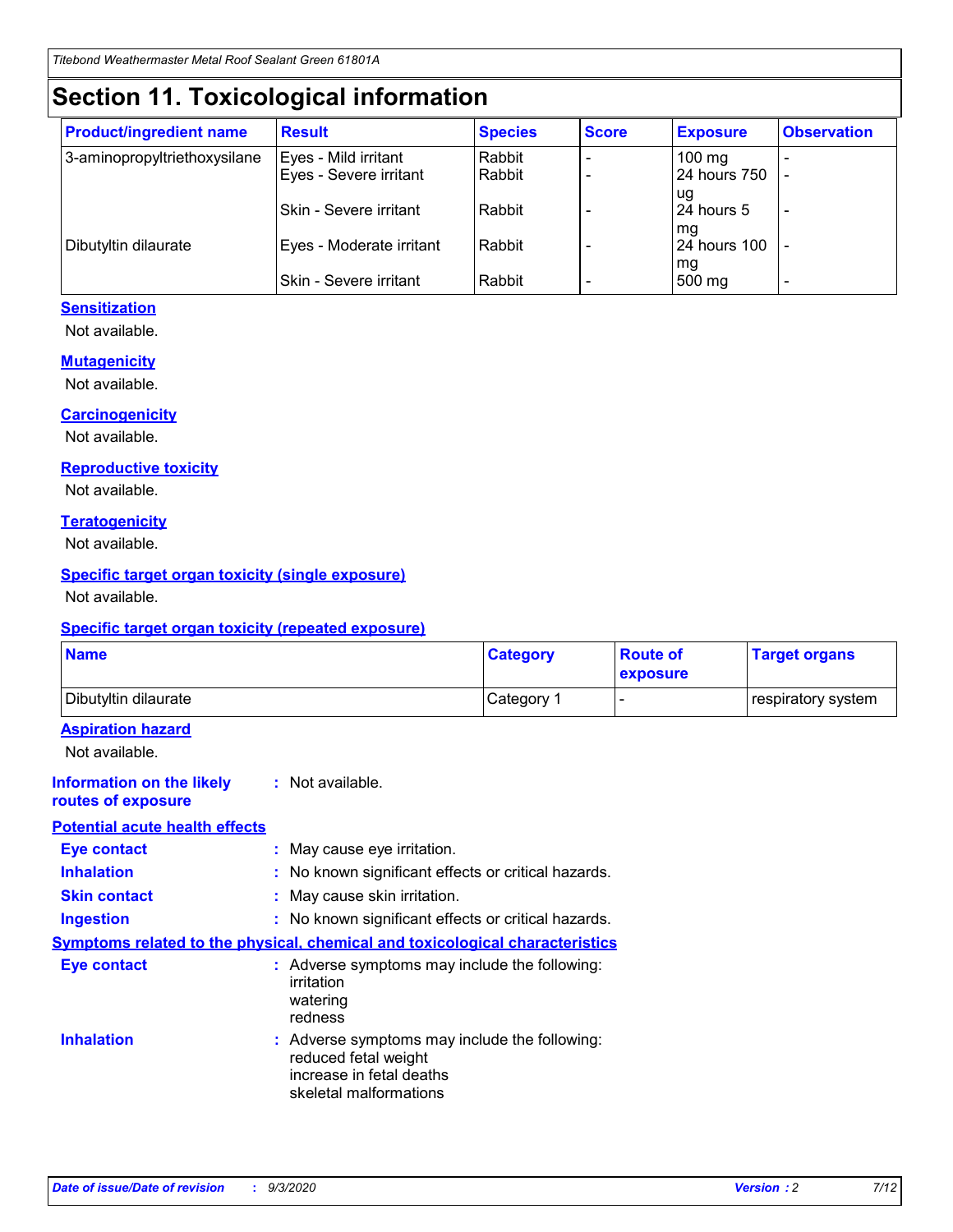# **Section 11. Toxicological information**

| <b>Product/ingredient name</b> | <b>Result</b>            | <b>Species</b> | <b>Score</b> | <b>Exposure</b>    | <b>Observation</b> |
|--------------------------------|--------------------------|----------------|--------------|--------------------|--------------------|
| 3-aminopropyltriethoxysilane   | Eyes - Mild irritant     | Rabbit         |              | $100 \text{ mg}$   |                    |
|                                | Eyes - Severe irritant   | Rabbit         |              | 24 hours 750       |                    |
|                                |                          |                |              | ug                 |                    |
|                                | Skin - Severe irritant   | Rabbit         |              | 24 hours 5         | -                  |
| Dibutyltin dilaurate           | Eyes - Moderate irritant | Rabbit         |              | mg<br>24 hours 100 |                    |
|                                |                          |                |              | mg                 |                    |
|                                | Skin - Severe irritant   | Rabbit         |              | 500 mg             | -                  |

#### **Sensitization**

Not available.

#### **Mutagenicity**

Not available.

#### **Carcinogenicity**

Not available.

#### **Reproductive toxicity**

Not available.

#### **Teratogenicity**

Not available.

#### **Specific target organ toxicity (single exposure)**

Not available.

#### **Specific target organ toxicity (repeated exposure)**

| <b>Name</b>                                                                  |                                                                                                                             | <b>Category</b>                                     | <b>Route of</b><br>exposure | <b>Target organs</b> |  |  |
|------------------------------------------------------------------------------|-----------------------------------------------------------------------------------------------------------------------------|-----------------------------------------------------|-----------------------------|----------------------|--|--|
| Dibutyltin dilaurate                                                         |                                                                                                                             | Category 1                                          |                             | respiratory system   |  |  |
| <b>Aspiration hazard</b><br>Not available.                                   |                                                                                                                             |                                                     |                             |                      |  |  |
| <b>Information on the likely</b><br>routes of exposure                       | : Not available.                                                                                                            |                                                     |                             |                      |  |  |
| <b>Potential acute health effects</b>                                        |                                                                                                                             |                                                     |                             |                      |  |  |
| <b>Eye contact</b>                                                           | : May cause eye irritation.                                                                                                 |                                                     |                             |                      |  |  |
| <b>Inhalation</b>                                                            |                                                                                                                             | : No known significant effects or critical hazards. |                             |                      |  |  |
| <b>Skin contact</b>                                                          |                                                                                                                             | : May cause skin irritation.                        |                             |                      |  |  |
| <b>Ingestion</b>                                                             |                                                                                                                             | : No known significant effects or critical hazards. |                             |                      |  |  |
| Symptoms related to the physical, chemical and toxicological characteristics |                                                                                                                             |                                                     |                             |                      |  |  |
| <b>Eye contact</b>                                                           | : Adverse symptoms may include the following:<br>irritation<br>watering<br>redness                                          |                                                     |                             |                      |  |  |
| <b>Inhalation</b>                                                            | : Adverse symptoms may include the following:<br>reduced fetal weight<br>increase in fetal deaths<br>skeletal malformations |                                                     |                             |                      |  |  |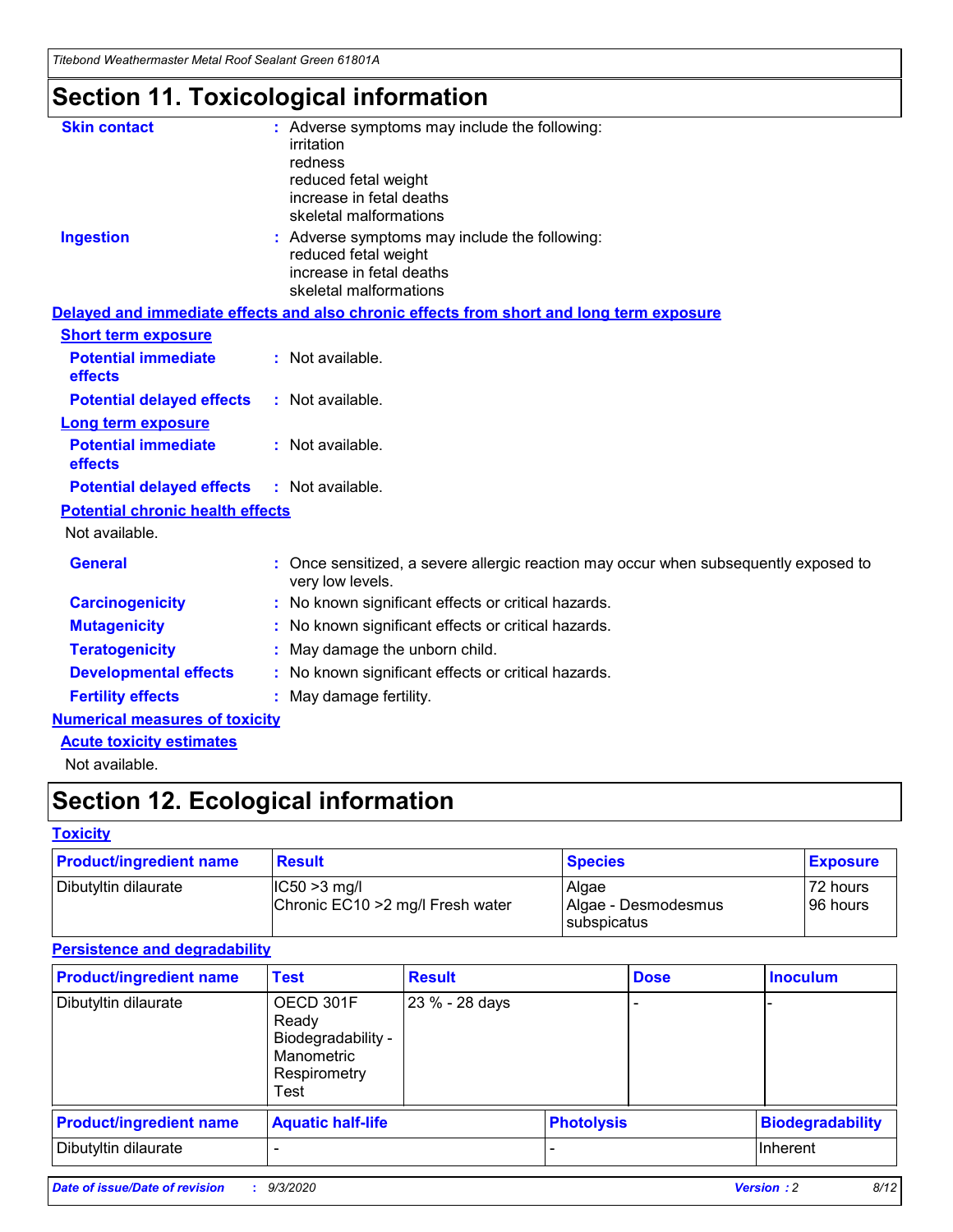*Titebond Weathermaster Metal Roof Sealant Green 61801A*

# **Section 11. Toxicological information**

| <b>Skin contact</b>                     | : Adverse symptoms may include the following:<br>irritation                                            |
|-----------------------------------------|--------------------------------------------------------------------------------------------------------|
|                                         | redness                                                                                                |
|                                         | reduced fetal weight                                                                                   |
|                                         | increase in fetal deaths                                                                               |
|                                         | skeletal malformations                                                                                 |
| <b>Ingestion</b>                        | : Adverse symptoms may include the following:<br>reduced fetal weight                                  |
|                                         | increase in fetal deaths                                                                               |
|                                         | skeletal malformations                                                                                 |
|                                         | Delayed and immediate effects and also chronic effects from short and long term exposure               |
| <b>Short term exposure</b>              |                                                                                                        |
| <b>Potential immediate</b><br>effects   | : Not available.                                                                                       |
| <b>Potential delayed effects</b>        | : Not available.                                                                                       |
| <b>Long term exposure</b>               |                                                                                                        |
| <b>Potential immediate</b><br>effects   | : Not available.                                                                                       |
| <b>Potential delayed effects</b>        | : Not available.                                                                                       |
| <b>Potential chronic health effects</b> |                                                                                                        |
| Not available.                          |                                                                                                        |
| <b>General</b>                          | Once sensitized, a severe allergic reaction may occur when subsequently exposed to<br>very low levels. |
| <b>Carcinogenicity</b>                  | No known significant effects or critical hazards.                                                      |
| <b>Mutagenicity</b>                     | : No known significant effects or critical hazards.                                                    |
| <b>Teratogenicity</b>                   | May damage the unborn child.                                                                           |
| <b>Developmental effects</b>            | : No known significant effects or critical hazards.                                                    |
| <b>Fertility effects</b>                | : May damage fertility.                                                                                |
| <b>Numerical measures of toxicity</b>   |                                                                                                        |
| <b>Acute toxicity estimates</b>         |                                                                                                        |
| Not ovoilable                           |                                                                                                        |

Not available.

# **Section 12. Ecological information**

#### **Toxicity**

| <b>Product/ingredient name</b> | <b>Result</b>                                       | <b>Species</b>               | <b>Exposure</b>       |
|--------------------------------|-----------------------------------------------------|------------------------------|-----------------------|
| Dibutyltin dilaurate           | $ CC50>3$ mg/l<br>Chronic EC10 > 2 mg/l Fresh water | Algae<br>Algae - Desmodesmus | 72 hours<br>196 hours |
|                                |                                                     | <b>I</b> subspicatus         |                       |

#### **Persistence and degradability**

| <b>Product/ingredient name</b> | <b>Test</b>                                                                    | <b>Result</b>  |                   | <b>Dose</b> | <b>Inoculum</b>         |
|--------------------------------|--------------------------------------------------------------------------------|----------------|-------------------|-------------|-------------------------|
| Dibutyltin dilaurate           | OECD 301F<br>Ready<br>Biodegradability -<br>Manometric<br>Respirometry<br>Test | 23 % - 28 days |                   |             |                         |
| <b>Product/ingredient name</b> | <b>Aquatic half-life</b>                                                       |                | <b>Photolysis</b> |             | <b>Biodegradability</b> |
| Dibutyltin dilaurate           |                                                                                |                |                   |             | <b>Inherent</b>         |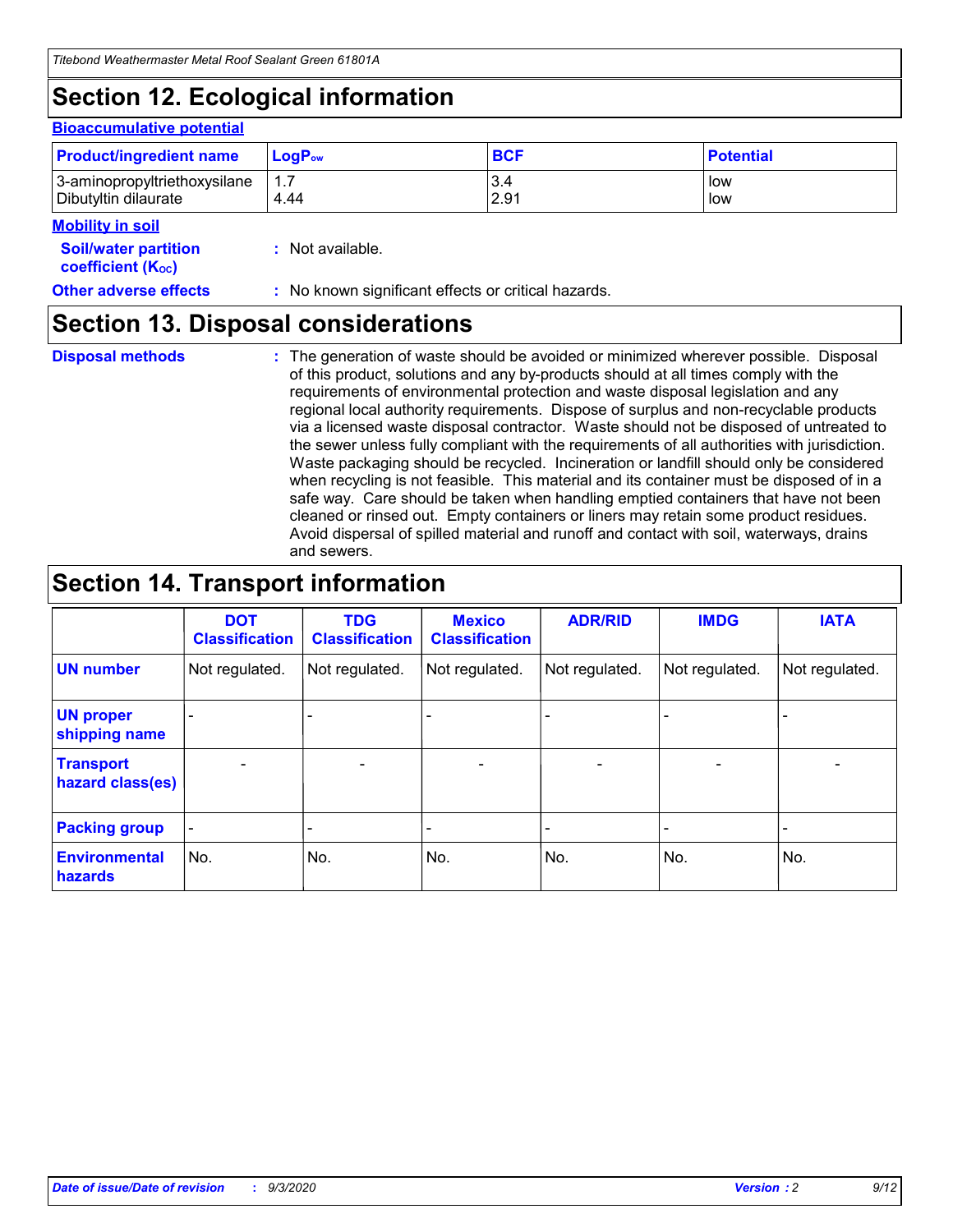# **Section 12. Ecological information**

#### **Bioaccumulative potential**

| <b>Product/ingredient name</b> | $\mathsf{LogP}_\mathsf{ow}$ | <b>BCF</b> | <b>Potential</b> |
|--------------------------------|-----------------------------|------------|------------------|
| 3-aminopropyltriethoxysilane   | 1.7                         | 3.4        | low              |
| Dibutyltin dilaurate           | 4.44                        | 2.91       | low              |

#### **Mobility in soil**

| <b>Soil/water partition</b> | : Not available. |
|-----------------------------|------------------|
| <b>coefficient (Koc)</b>    |                  |

**Other adverse effects** : No known significant effects or critical hazards.

### **Section 13. Disposal considerations**

**Disposal methods :**

The generation of waste should be avoided or minimized wherever possible. Disposal of this product, solutions and any by-products should at all times comply with the requirements of environmental protection and waste disposal legislation and any regional local authority requirements. Dispose of surplus and non-recyclable products via a licensed waste disposal contractor. Waste should not be disposed of untreated to the sewer unless fully compliant with the requirements of all authorities with jurisdiction. Waste packaging should be recycled. Incineration or landfill should only be considered when recycling is not feasible. This material and its container must be disposed of in a safe way. Care should be taken when handling emptied containers that have not been cleaned or rinsed out. Empty containers or liners may retain some product residues. Avoid dispersal of spilled material and runoff and contact with soil, waterways, drains and sewers.

### **Section 14. Transport information**

|                                      | <b>DOT</b><br><b>Classification</b> | <b>TDG</b><br><b>Classification</b> | <b>Mexico</b><br><b>Classification</b> | <b>ADR/RID</b>           | <b>IMDG</b>              | <b>IATA</b>    |
|--------------------------------------|-------------------------------------|-------------------------------------|----------------------------------------|--------------------------|--------------------------|----------------|
| <b>UN number</b>                     | Not regulated.                      | Not regulated.                      | Not regulated.                         | Not regulated.           | Not regulated.           | Not regulated. |
| <b>UN proper</b><br>shipping name    |                                     |                                     |                                        |                          |                          |                |
| <b>Transport</b><br>hazard class(es) |                                     | $\overline{\phantom{0}}$            | $\qquad \qquad \blacksquare$           | $\overline{\phantom{0}}$ | $\overline{\phantom{0}}$ |                |
| <b>Packing group</b>                 |                                     |                                     |                                        |                          |                          |                |
| <b>Environmental</b><br>hazards      | No.                                 | No.                                 | No.                                    | No.                      | No.                      | No.            |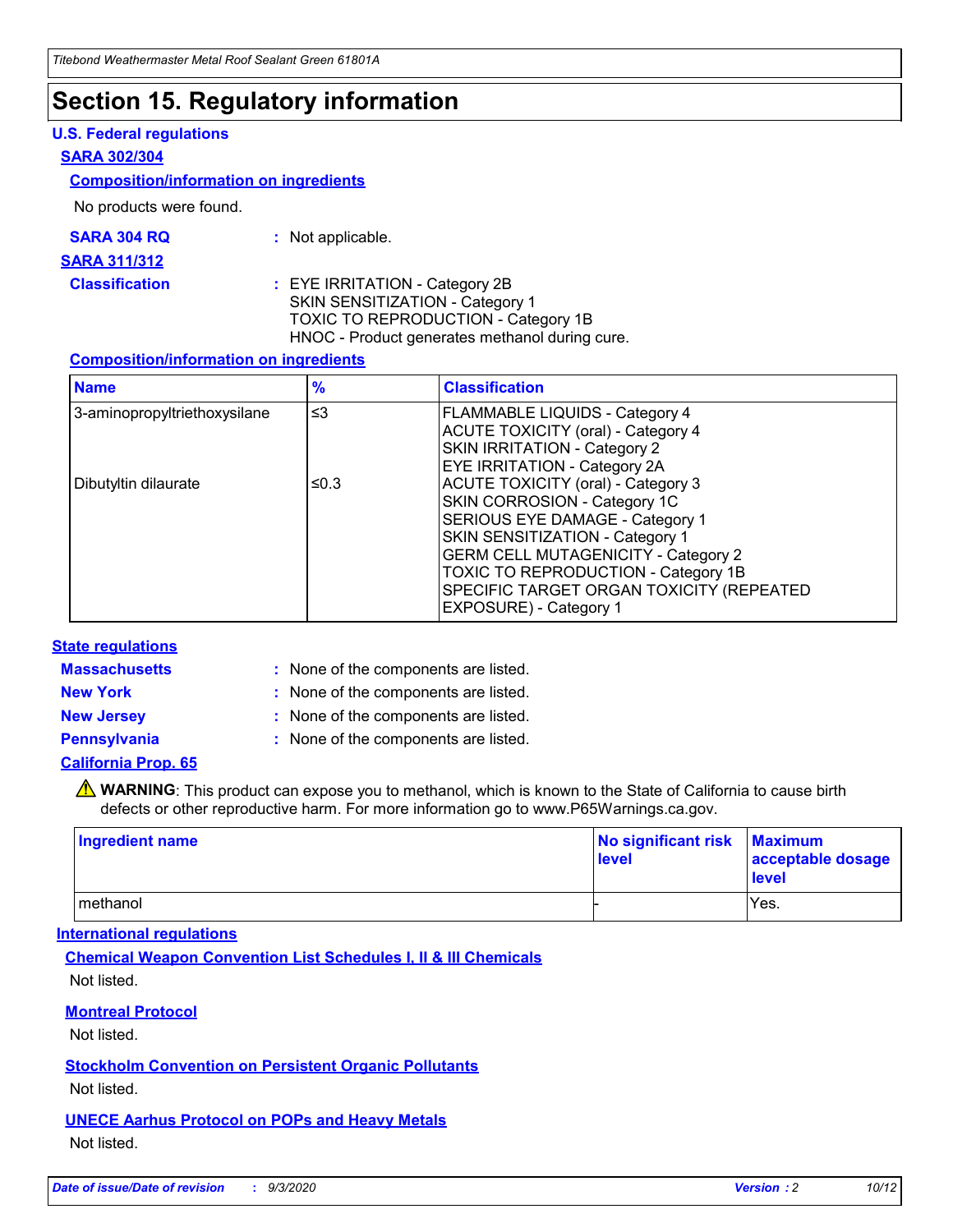### **Section 15. Regulatory information**

#### **U.S. Federal regulations**

#### **SARA 302/304**

#### **Composition/information on ingredients**

No products were found.

| SARA 304 RQ | Not applicable. |
|-------------|-----------------|
|-------------|-----------------|

#### **SARA 311/312**

#### **Classification :** EYE IRRITATION - Category 2B SKIN SENSITIZATION - Category 1 TOXIC TO REPRODUCTION - Category 1B HNOC - Product generates methanol during cure.

#### **Composition/information on ingredients**

| <b>Name</b>                  | $\frac{9}{6}$ | <b>Classification</b>                                                                                                                                                                                                                                                                                      |
|------------------------------|---------------|------------------------------------------------------------------------------------------------------------------------------------------------------------------------------------------------------------------------------------------------------------------------------------------------------------|
| 3-aminopropyltriethoxysilane | $\leq$ 3      | <b>FLAMMABLE LIQUIDS - Category 4</b><br><b>ACUTE TOXICITY (oral) - Category 4</b><br><b>SKIN IRRITATION - Category 2</b><br>EYE IRRITATION - Category 2A                                                                                                                                                  |
| Dibutyltin dilaurate         | ≤0.3          | <b>ACUTE TOXICITY (oral) - Category 3</b><br>SKIN CORROSION - Category 1C<br>SERIOUS EYE DAMAGE - Category 1<br>SKIN SENSITIZATION - Category 1<br><b>GERM CELL MUTAGENICITY - Category 2</b><br>TOXIC TO REPRODUCTION - Category 1B<br>SPECIFIC TARGET ORGAN TOXICITY (REPEATED<br>EXPOSURE) - Category 1 |

#### **State regulations**

**Massachusetts :**

: None of the components are listed.

**New York :** None of the components are listed.

**New Jersey :** None of the components are listed.

**Pennsylvania :** None of the components are listed.

#### **California Prop. 65**

WARNING: This product can expose you to methanol, which is known to the State of California to cause birth defects or other reproductive harm. For more information go to www.P65Warnings.ca.gov.

| Ingredient name | No significant risk Maximum<br>level | acceptable dosage<br><b>level</b> |
|-----------------|--------------------------------------|-----------------------------------|
| I methanol      |                                      | Yes.                              |

#### **International regulations**

**Chemical Weapon Convention List Schedules I, II & III Chemicals** Not listed.

#### **Montreal Protocol**

Not listed.

**Stockholm Convention on Persistent Organic Pollutants**

Not listed.

#### **UNECE Aarhus Protocol on POPs and Heavy Metals** Not listed.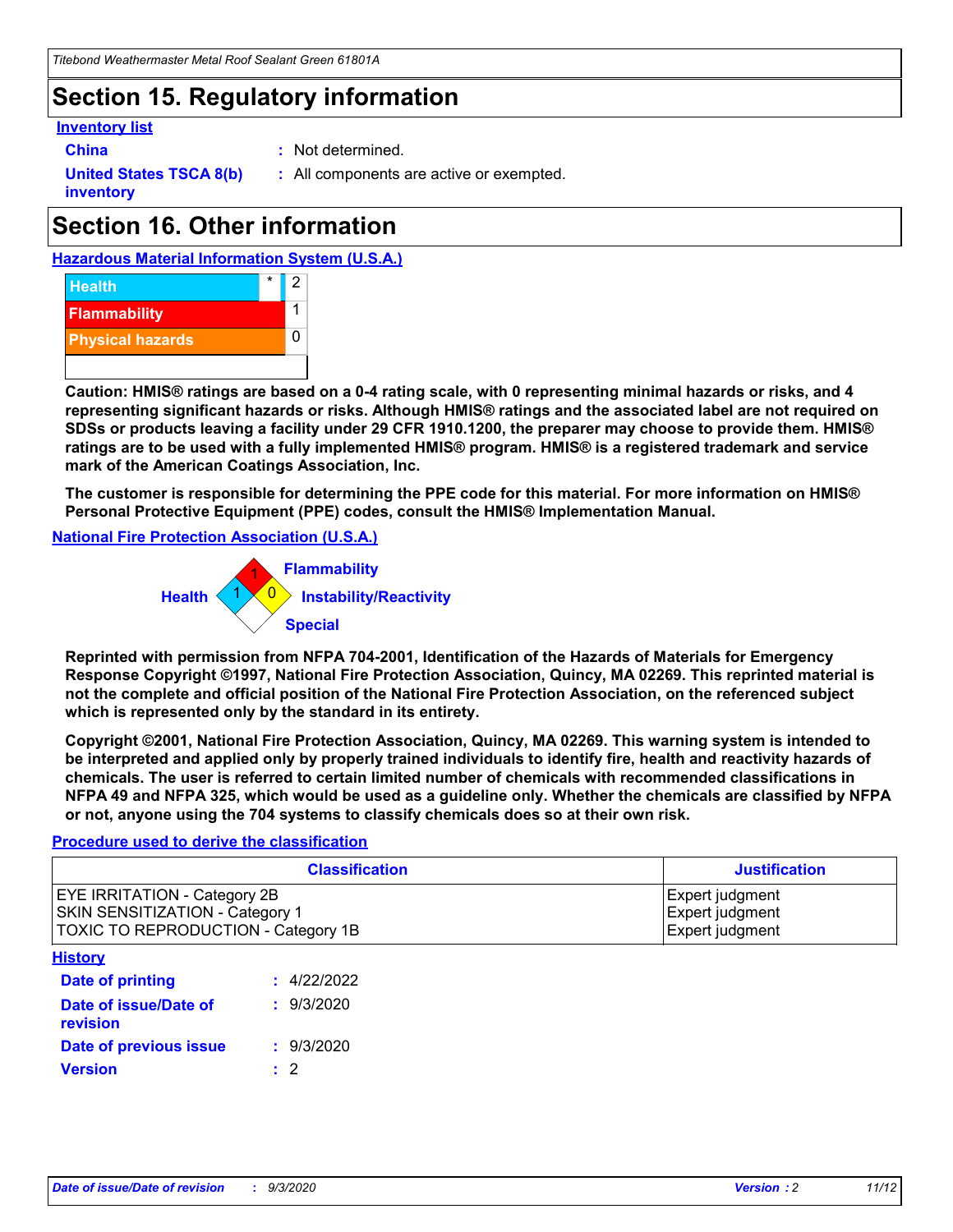# **Section 15. Regulatory information**

#### **Inventory list**

- 
- **China :** Not determined.

**United States TSCA 8(b) inventory**

**:** All components are active or exempted.

# **Section 16. Other information**





**Caution: HMIS® ratings are based on a 0-4 rating scale, with 0 representing minimal hazards or risks, and 4 representing significant hazards or risks. Although HMIS® ratings and the associated label are not required on SDSs or products leaving a facility under 29 CFR 1910.1200, the preparer may choose to provide them. HMIS® ratings are to be used with a fully implemented HMIS® program. HMIS® is a registered trademark and service mark of the American Coatings Association, Inc.**

**The customer is responsible for determining the PPE code for this material. For more information on HMIS® Personal Protective Equipment (PPE) codes, consult the HMIS® Implementation Manual.**

**National Fire Protection Association (U.S.A.)**



**Reprinted with permission from NFPA 704-2001, Identification of the Hazards of Materials for Emergency Response Copyright ©1997, National Fire Protection Association, Quincy, MA 02269. This reprinted material is not the complete and official position of the National Fire Protection Association, on the referenced subject which is represented only by the standard in its entirety.**

**Copyright ©2001, National Fire Protection Association, Quincy, MA 02269. This warning system is intended to be interpreted and applied only by properly trained individuals to identify fire, health and reactivity hazards of chemicals. The user is referred to certain limited number of chemicals with recommended classifications in NFPA 49 and NFPA 325, which would be used as a guideline only. Whether the chemicals are classified by NFPA or not, anyone using the 704 systems to classify chemicals does so at their own risk.**

#### **Procedure used to derive the classification**

| <b>Classification</b>                                                                                         | <b>Justification</b>                                  |
|---------------------------------------------------------------------------------------------------------------|-------------------------------------------------------|
| <b>EYE IRRITATION - Category 2B</b><br>SKIN SENSITIZATION - Category 1<br>TOXIC TO REPRODUCTION - Category 1B | Expert judgment<br>Expert judgment<br>Expert judgment |
| <b>History</b>                                                                                                |                                                       |

| .                                 |             |
|-----------------------------------|-------------|
| <b>Date of printing</b>           | : 4/22/2022 |
| Date of issue/Date of<br>revision | : 9/3/2020  |
| Date of previous issue            | : 9/3/2020  |
| <b>Version</b>                    | $\cdot$ 2   |
|                                   |             |